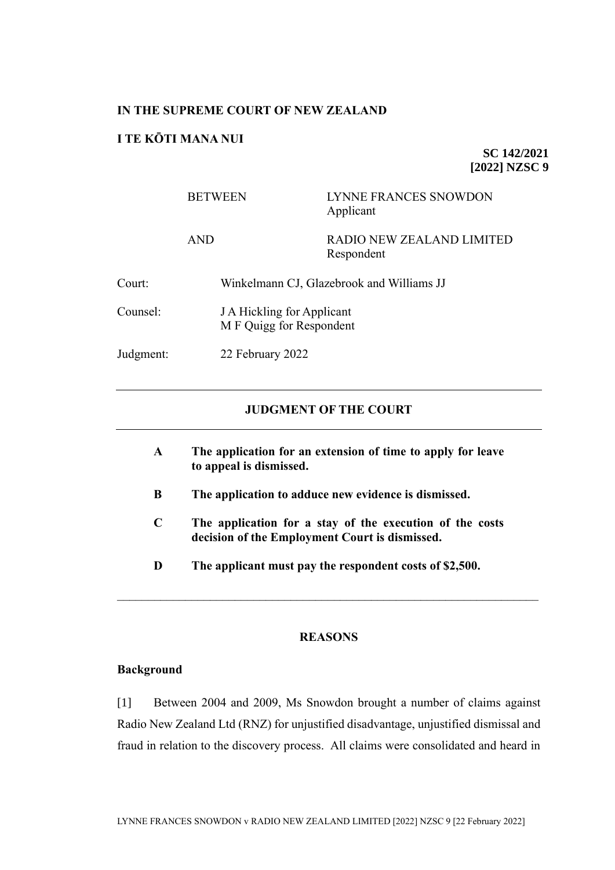### **IN THE SUPREME COURT OF NEW ZEALAND**

## **I TE KŌTI MANA NUI**

**SC 142/2021 [2022] NZSC 9**

|           | <b>BETWEEN</b>                                         | LYNNE FRANCES SNOWDON<br>Applicant      |  |
|-----------|--------------------------------------------------------|-----------------------------------------|--|
|           | <b>AND</b>                                             | RADIO NEW ZEALAND LIMITED<br>Respondent |  |
| Court:    | Winkelmann CJ, Glazebrook and Williams JJ              |                                         |  |
| Counsel:  | J A Hickling for Applicant<br>M F Quigg for Respondent |                                         |  |
| Judgment: | 22 February 2022                                       |                                         |  |

### **JUDGMENT OF THE COURT**

- **A The application for an extension of time to apply for leave to appeal is dismissed.**
- **B The application to adduce new evidence is dismissed.**
- **C The application for a stay of the execution of the costs decision of the Employment Court is dismissed.**
- **D The applicant must pay the respondent costs of \$2,500.**

#### **REASONS**

#### **Background**

[1] Between 2004 and 2009, Ms Snowdon brought a number of claims against Radio New Zealand Ltd (RNZ) for unjustified disadvantage, unjustified dismissal and fraud in relation to the discovery process. All claims were consolidated and heard in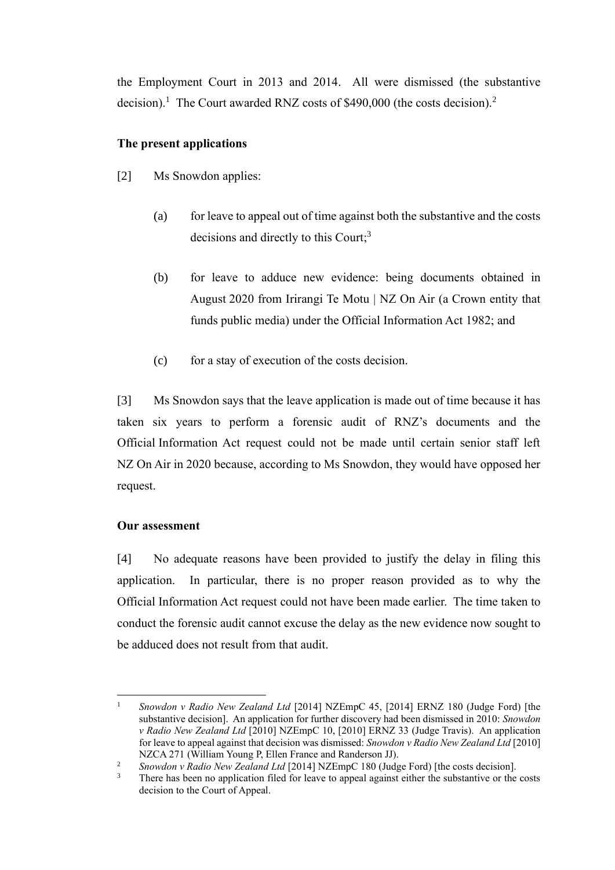the Employment Court in 2013 and 2014. All were dismissed (the substantive decision).<sup>1</sup> The Court awarded RNZ costs of \$490,000 (the costs decision).<sup>2</sup>

## **The present applications**

- [2] Ms Snowdon applies:
	- (a) for leave to appeal out of time against both the substantive and the costs decisions and directly to this Court;<sup>3</sup>
	- (b) for leave to adduce new evidence: being documents obtained in August 2020 from Irirangi Te Motu | NZ On Air (a Crown entity that funds public media) under the Official Information Act 1982; and
	- (c) for a stay of execution of the costs decision.

[3] Ms Snowdon says that the leave application is made out of time because it has taken six years to perform a forensic audit of RNZ's documents and the Official Information Act request could not be made until certain senior staff left NZ On Air in 2020 because, according to Ms Snowdon, they would have opposed her request.

### **Our assessment**

[4] No adequate reasons have been provided to justify the delay in filing this application. In particular, there is no proper reason provided as to why the Official Information Act request could not have been made earlier. The time taken to conduct the forensic audit cannot excuse the delay as the new evidence now sought to be adduced does not result from that audit.

<sup>&</sup>lt;sup>1</sup> Snowdon v Radio New Zealand Ltd [2014] NZEmpC 45, [2014] ERNZ 180 (Judge Ford) [the substantive decision]. An application for further discovery had been dismissed in 2010: *Snowdon v Radio New Zealand Ltd* [2010] NZEmpC 10, [2010] ERNZ 33 (Judge Travis). An application for leave to appeal against that decision was dismissed: *Snowdon v Radio New Zealand Ltd* [2010] NZCA 271 (William Young P, Ellen France and Randerson JJ).

<sup>&</sup>lt;sup>2</sup> *Snowdon v Radio New Zealand Ltd* [2014] NZEmpC 180 (Judge Ford) [the costs decision].

There has been no application filed for leave to appeal against either the substantive or the costs decision to the Court of Appeal.